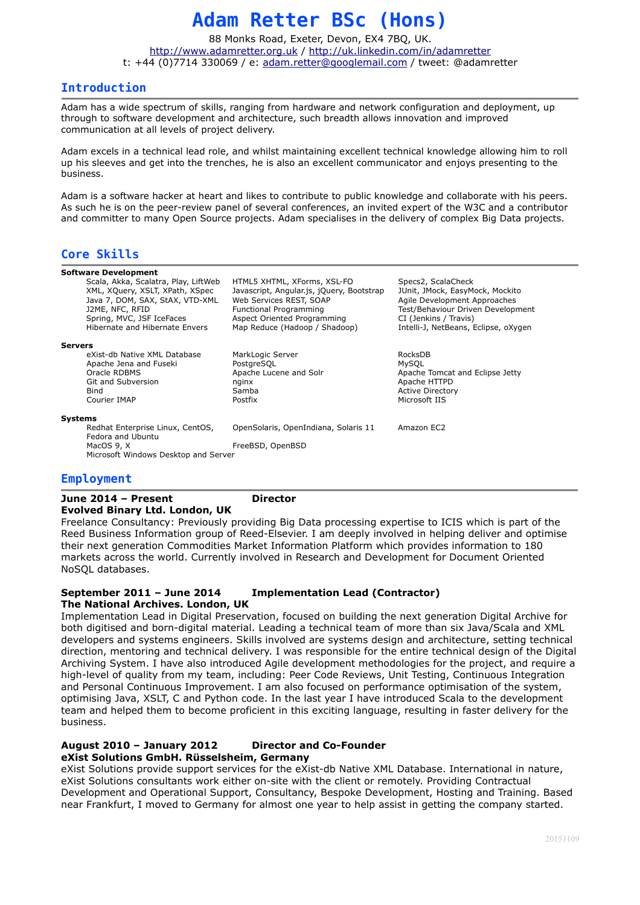# **Adam Retter BSc (Hons)**

88 Monks Road, Exeter, Devon, EX4 7BQ, UK. [http://www.adamretter.org.uk](http://www.adamretter.org.uk/) /<http://uk.linkedin.com/in/adamretter> t: +44 (0)7714 330069 / e: [adam.retter@googlemail.com](mailto:adam.retter@googlemail.com) / tweet: @adamretter

# **Introduction**

Adam has a wide spectrum of skills, ranging from hardware and network configuration and deployment, up through to software development and architecture, such breadth allows innovation and improved communication at all levels of project delivery.

Adam excels in a technical lead role, and whilst maintaining excellent technical knowledge allowing him to roll up his sleeves and get into the trenches, he is also an excellent communicator and enjoys presenting to the business.

Adam is a software hacker at heart and likes to contribute to public knowledge and collaborate with his peers. As such he is on the peer-review panel of several conferences, an invited expert of the W3C and a contributor and committer to many Open Source projects. Adam specialises in the delivery of complex Big Data projects.

# **Core Skills**

| Software Development                                                                                                                                                                         |                                                                                                                                                                                               |                                                                                                                                                                                             |
|----------------------------------------------------------------------------------------------------------------------------------------------------------------------------------------------|-----------------------------------------------------------------------------------------------------------------------------------------------------------------------------------------------|---------------------------------------------------------------------------------------------------------------------------------------------------------------------------------------------|
| Scala, Akka, Scalatra, Play, LiftWeb<br>XML, XQuery, XSLT, XPath, XSpec<br>Java 7, DOM, SAX, StAX, VTD-XML<br>J2ME, NFC, RFID<br>Spring, MVC, JSF IceFaces<br>Hibernate and Hibernate Envers | HTML5 XHTML, XForms, XSL-FO<br>Javascript, Angular.js, jQuery, Bootstrap<br>Web Services REST, SOAP<br>Functional Programming<br>Aspect Oriented Programming<br>Map Reduce (Hadoop / Shadoop) | Specs2, ScalaCheck<br>JUnit, JMock, EasyMock, Mockito<br>Agile Development Approaches<br>Test/Behaviour Driven Development<br>CI (Jenkins / Travis)<br>Intelli-J, NetBeans, Eclipse, oXygen |
| <b>Servers</b>                                                                                                                                                                               |                                                                                                                                                                                               |                                                                                                                                                                                             |
| eXist-db Native XML Database<br>Apache Jena and Fuseki<br>Oracle RDBMS<br>Git and Subversion<br>Bind<br>Courier IMAP                                                                         | MarkLogic Server<br>PostgreSQL<br>Apache Lucene and Solr<br>nginx<br>Samba<br>Postfix                                                                                                         | RocksDB<br><b>MySQL</b><br>Apache Tomcat and Eclipse Jetty<br>Apache HTTPD<br><b>Active Directory</b><br>Microsoft IIS                                                                      |
| Systems                                                                                                                                                                                      |                                                                                                                                                                                               |                                                                                                                                                                                             |
| Redhat Enterprise Linux, CentOS,<br>Fedora and Ubuntu<br>MacOS 9, X<br>Microsoft Windows Desktop and Server                                                                                  | OpenSolaris, OpenIndiana, Solaris 11<br>FreeBSD, OpenBSD                                                                                                                                      | Amazon EC2                                                                                                                                                                                  |

# **Employment**

#### **June 2014 – Present Director Evolved Binary Ltd. London, UK**

Freelance Consultancy: Previously providing Big Data processing expertise to ICIS which is part of the Reed Business Information group of Reed-Elsevier. I am deeply involved in helping deliver and optimise their next generation Commodities Market Information Platform which provides information to 180 markets across the world. Currently involved in Research and Development for Document Oriented NoSQL databases.

#### **September 2011 – June 2014 Implementation Lead (Contractor) The National Archives. London, UK**

Implementation Lead in Digital Preservation, focused on building the next generation Digital Archive for both digitised and born-digital material. Leading a technical team of more than six Java/Scala and XML developers and systems engineers. Skills involved are systems design and architecture, setting technical direction, mentoring and technical delivery. I was responsible for the entire technical design of the Digital Archiving System. I have also introduced Agile development methodologies for the project, and require a high-level of quality from my team, including: Peer Code Reviews, Unit Testing, Continuous Integration and Personal Continuous Improvement. I am also focused on performance optimisation of the system, optimising Java, XSLT, C and Python code. In the last year I have introduced Scala to the development team and helped them to become proficient in this exciting language, resulting in faster delivery for the business.

# **August 2010 – January 2012 Director and Co-Founder**

### **eXist Solutions GmbH. Rüsselsheim, Germany**

eXist Solutions provide support services for the eXist-db Native XML Database. International in nature, eXist Solutions consultants work either on-site with the client or remotely. Providing Contractual Development and Operational Support, Consultancy, Bespoke Development, Hosting and Training. Based near Frankfurt, I moved to Germany for almost one year to help assist in getting the company started.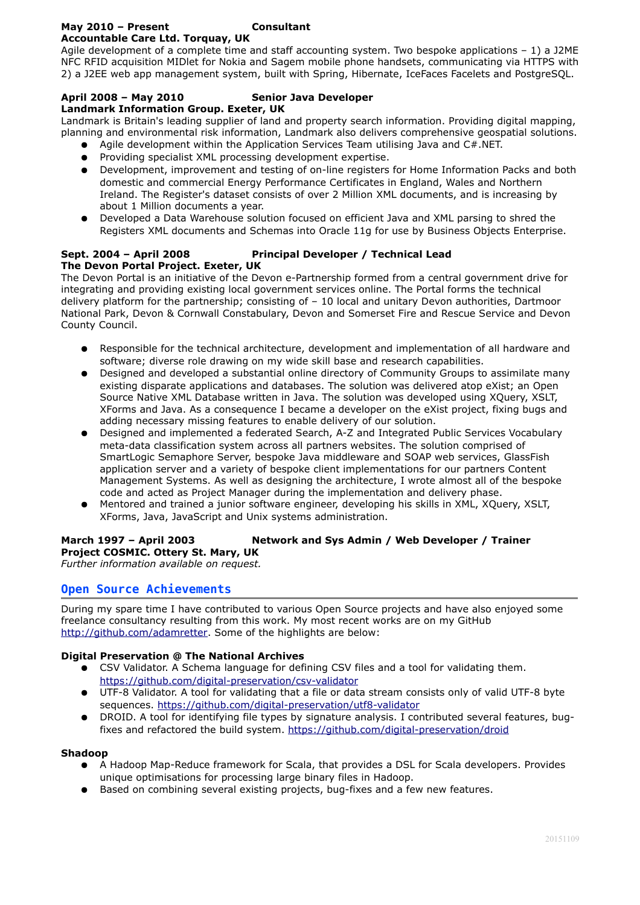#### **May 2010 – Present Consultant Accountable Care Ltd. Torquay, UK**

Agile development of a complete time and staff accounting system. Two bespoke applications – 1) a J2ME NFC RFID acquisition MIDlet for Nokia and Sagem mobile phone handsets, communicating via HTTPS with 2) a J2EE web app management system, built with Spring, Hibernate, IceFaces Facelets and PostgreSQL.

# **April 2008 – May 2010 Senior Java Developer**

### **Landmark Information Group. Exeter, UK**

Landmark is Britain's leading supplier of land and property search information. Providing digital mapping, planning and environmental risk information, Landmark also delivers comprehensive geospatial solutions.

- Agile development within the Application Services Team utilising Java and C#.NET.
- Providing specialist XML processing development expertise.
- Development, improvement and testing of on-line registers for Home Information Packs and both domestic and commercial Energy Performance Certificates in England, Wales and Northern Ireland. The Register's dataset consists of over 2 Million XML documents, and is increasing by about 1 Million documents a year.
- Developed a Data Warehouse solution focused on efficient Java and XML parsing to shred the Registers XML documents and Schemas into Oracle 11g for use by Business Objects Enterprise.

# **Sept. 2004 – April 2008 Principal Developer / Technical Lead**

### **The Devon Portal Project. Exeter, UK**

The Devon Portal is an initiative of the Devon e-Partnership formed from a central government drive for integrating and providing existing local government services online. The Portal forms the technical delivery platform for the partnership; consisting of – 10 local and unitary Devon authorities, Dartmoor National Park, Devon & Cornwall Constabulary, Devon and Somerset Fire and Rescue Service and Devon County Council.

- Responsible for the technical architecture, development and implementation of all hardware and software; diverse role drawing on my wide skill base and research capabilities.
- Designed and developed a substantial online directory of Community Groups to assimilate many existing disparate applications and databases. The solution was delivered atop eXist; an Open Source Native XML Database written in Java. The solution was developed using XQuery, XSLT, XForms and Java. As a consequence I became a developer on the eXist project, fixing bugs and adding necessary missing features to enable delivery of our solution.
- Designed and implemented a federated Search, A-Z and Integrated Public Services Vocabulary meta-data classification system across all partners websites. The solution comprised of SmartLogic Semaphore Server, bespoke Java middleware and SOAP web services, GlassFish application server and a variety of bespoke client implementations for our partners Content Management Systems. As well as designing the architecture, I wrote almost all of the bespoke code and acted as Project Manager during the implementation and delivery phase.
- Mentored and trained a junior software engineer, developing his skills in XML, XOuery, XSLT, XForms, Java, JavaScript and Unix systems administration.

# **March 1997 – April 2003 Network and Sys Admin / Web Developer / Trainer Project COSMIC. Ottery St. Mary, UK**

*Further information available on request.*

### **Open Source Achievements**

During my spare time I have contributed to various Open Source projects and have also enjoyed some freelance consultancy resulting from this work. My most recent works are on my GitHub [http://github.com/adamretter.](http://github.com/adamretter) Some of the highlights are below:

### **Digital Preservation @ The National Archives**

- CSV Validator. A Schema language for defining CSV files and a tool for validating them. <https://github.com/digital-preservation/csv-validator>
- UTF-8 Validator. A tool for validating that a file or data stream consists only of valid UTF-8 byte sequences.<https://github.com/digital-preservation/utf8-validator>
- DROID. A tool for identifying file types by signature analysis. I contributed several features, bugfixes and refactored the build system.<https://github.com/digital-preservation/droid>

#### **Shadoop**

- A Hadoop Map-Reduce framework for Scala, that provides a DSL for Scala developers. Provides unique optimisations for processing large binary files in Hadoop.
- Based on combining several existing projects, bug-fixes and a few new features.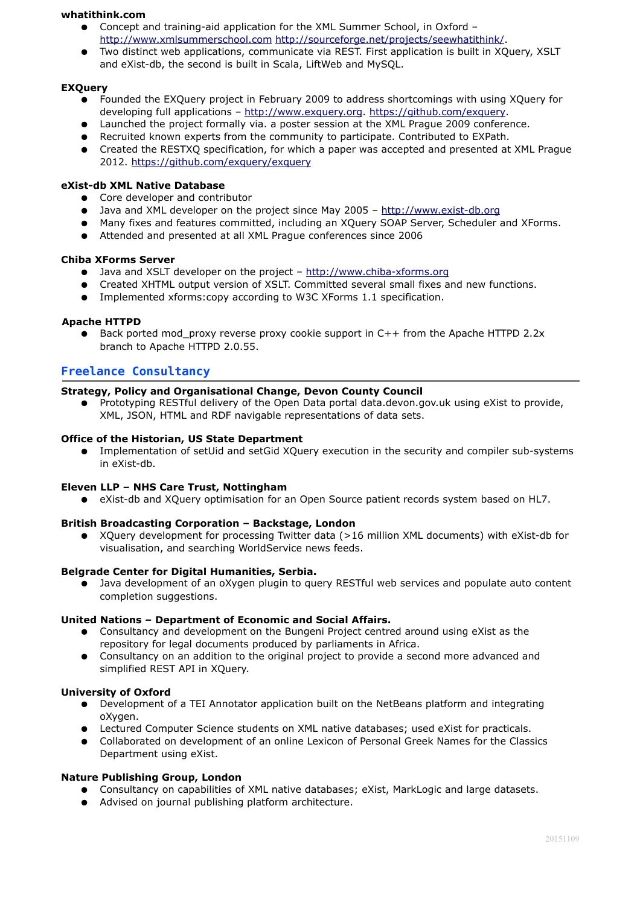#### **whatithink.com**

- Concept and training-aid application for the XML Summer School, in Oxford [http://www.xmlsummerschool.com](http://www.xmlsummerschool.com/) [http://sourceforge.net/projects/seewhatithink/.](http://sourceforge.net/projects/seewhatithink/)
- Two distinct web applications, communicate via REST. First application is built in XQuery, XSLT and eXist-db, the second is built in Scala, LiftWeb and MySQL.

#### **EXQuery**

- Founded the EXQuery project in February 2009 to address shortcomings with using XQuery for developing full applications – [http://www.exquery.org.](http://www.exquery.org/) [https://github.com/exquery.](https://github.com/exquery)
- Launched the project formally via. a poster session at the XML Prague 2009 conference.
- Recruited known experts from the community to participate. Contributed to EXPath.
- Created the RESTXQ specification, for which a paper was accepted and presented at XML Prague 2012.<https://github.com/exquery/exquery>

### **eXist-db XML Native Database**

- Core developer and contributor
- Java and XML developer on the project since May 2005 – [http://www.exist-db.org](http://www.exist-db.org/)
- Many fixes and features committed, including an XQuery SOAP Server, Scheduler and XForms.
- Attended and presented at all XML Prague conferences since 2006

#### **Chiba XForms Server**

- Java and XSLT developer on the project - [http://www.chiba-xforms.org](http://www.chiba-xforms.org/)
- Created XHTML output version of XSLT. Committed several small fixes and new functions.
- Implemented xforms:copy according to W3C XForms 1.1 specification.

#### **Apache HTTPD**

 $\bullet$  Back ported mod proxy reverse proxy cookie support in C++ from the Apache HTTPD 2.2x branch to Apache HTTPD 2.0.55.

### **Freelance Consultancy**

#### **Strategy, Policy and Organisational Change, Devon County Council**

Prototyping RESTful delivery of the Open Data portal data.devon.gov.uk using eXist to provide, XML, JSON, HTML and RDF navigable representations of data sets.

#### **Office of the Historian, US State Department**

● Implementation of setUid and setGid XQuery execution in the security and compiler sub-systems in eXist-db.

#### **Eleven LLP – NHS Care Trust, Nottingham**

● eXist-db and XQuery optimisation for an Open Source patient records system based on HL7.

#### **British Broadcasting Corporation – Backstage, London**

● XQuery development for processing Twitter data (>16 million XML documents) with eXist-db for visualisation, and searching WorldService news feeds.

#### **Belgrade Center for Digital Humanities, Serbia.**

● Java development of an oXygen plugin to query RESTful web services and populate auto content completion suggestions.

#### **United Nations – Department of Economic and Social Affairs.**

- Consultancy and development on the Bungeni Project centred around using eXist as the repository for legal documents produced by parliaments in Africa.
- Consultancy on an addition to the original project to provide a second more advanced and simplified REST API in XQuery.

#### **University of Oxford**

- Development of a TEI Annotator application built on the NetBeans platform and integrating oXygen.
- Lectured Computer Science students on XML native databases; used eXist for practicals.
- Collaborated on development of an online Lexicon of Personal Greek Names for the Classics Department using eXist.

#### **Nature Publishing Group, London**

- Consultancy on capabilities of XML native databases; eXist, MarkLogic and large datasets.
- Advised on journal publishing platform architecture.